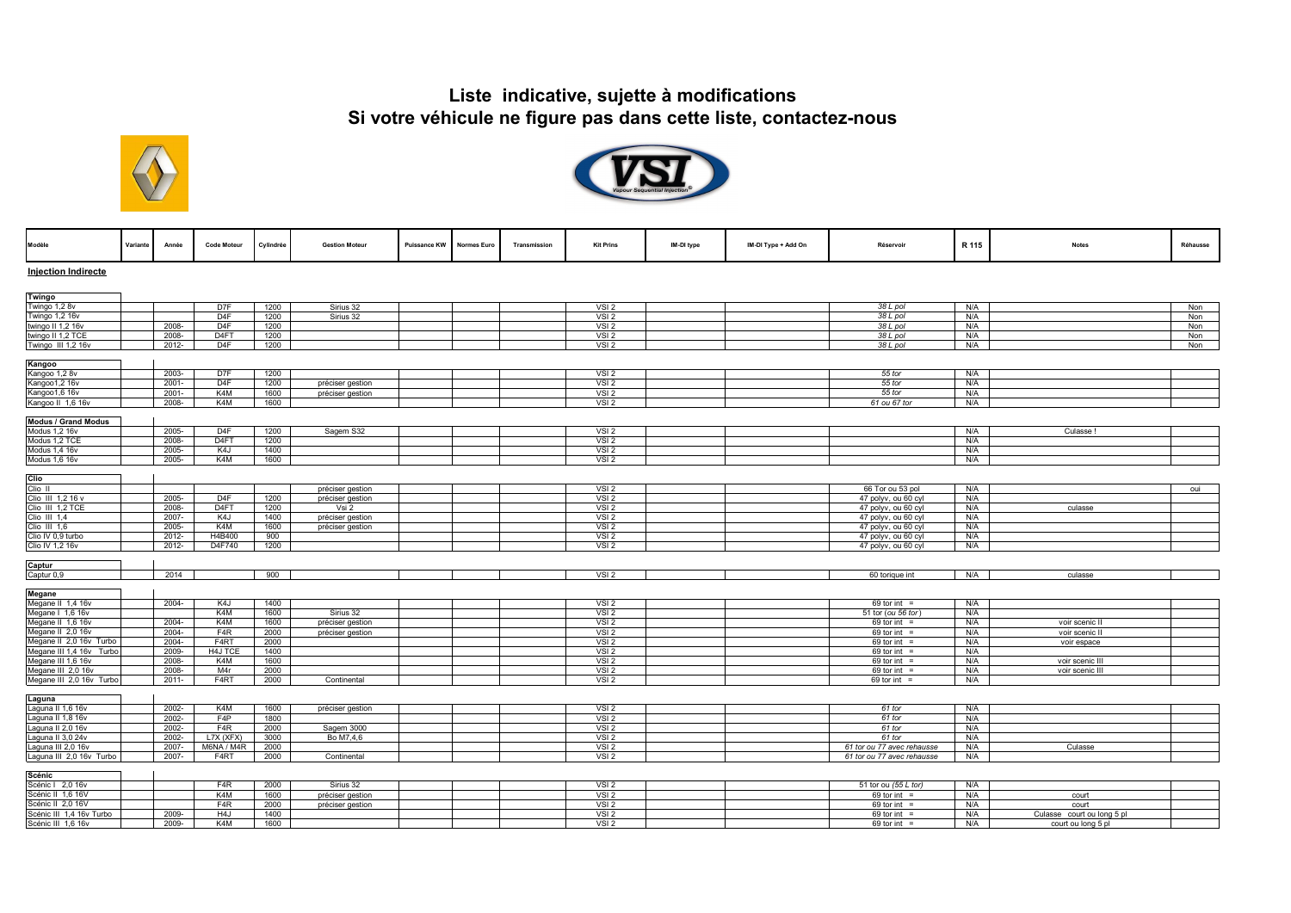



| Modèle                     | Variante | Année    | <b>Code Moteur</b> | Cylindrée | <b>Gestion Moteur</b> | Puissance KW | Normes Euro | Transmission | <b>Kit Prins</b> | IM-DI type | IM-DI Type + Add On | Réservoir                  | R 115 | <b>Notes</b>               | Réhausse |
|----------------------------|----------|----------|--------------------|-----------|-----------------------|--------------|-------------|--------------|------------------|------------|---------------------|----------------------------|-------|----------------------------|----------|
| <b>Injection Indirecte</b> |          |          |                    |           |                       |              |             |              |                  |            |                     |                            |       |                            |          |
| Twingo                     |          |          |                    |           |                       |              |             |              |                  |            |                     |                            |       |                            |          |
| Twingo 1,2 8v              |          |          | D <sub>7F</sub>    | 1200      | Sirius 32             |              |             |              | VSI2             |            |                     | 38 L pol                   | N/A   |                            | Non      |
| Twingo 1,2 16v             |          |          | D <sub>4</sub> F   | 1200      | Sirius 32             |              |             |              | VSI <sub>2</sub> |            |                     | 38 L pol                   | N/A   |                            | Non      |
| twingo II 1,2 16v          |          | 2008-    | D <sub>4F</sub>    | 1200      |                       |              |             |              | VSI2             |            |                     | 38 L pol                   | N/A   |                            | Non      |
| twingo II 1,2 TCE          |          | 2008-    | D <sub>4F</sub> T  | 1200      |                       |              |             |              | VSI2             |            |                     | 38 L pol                   | N/A   |                            | Non      |
| Twingo III 1,2 16v         |          | 2012-    | D4F                | 1200      |                       |              |             |              | VSI <sub>2</sub> |            |                     | 38 L pol                   | N/A   |                            | Non      |
|                            |          |          |                    |           |                       |              |             |              |                  |            |                     |                            |       |                            |          |
| Kangoo<br>Kangoo 1,2 8v    |          | 2003-    | D7F                | 1200      |                       |              |             |              | VSI <sub>2</sub> |            |                     | 55 tor                     | N/A   |                            |          |
| Kangoo1,2 16v              |          | $2001 -$ | D <sub>4</sub> F   | 1200      | préciser gestion      |              |             |              | VSI2             |            |                     | 55 tor                     | N/A   |                            |          |
| Kangoo1,6 16v              |          | $2001 -$ | K4M                | 1600      | préciser gestion      |              |             |              | VSI <sub>2</sub> |            |                     | 55 tor                     | N/A   |                            |          |
| Kangoo II 1,6 16v          |          | 2008-    | K4M                | 1600      |                       |              |             |              | VSI <sub>2</sub> |            |                     | 61 ou 67 tor               | N/A   |                            |          |
|                            |          |          |                    |           |                       |              |             |              |                  |            |                     |                            |       |                            |          |
| <b>Modus / Grand Modus</b> |          |          |                    |           |                       |              |             |              |                  |            |                     |                            |       |                            |          |
| Modus 1,2 16v              |          | 2005-    | D <sub>4</sub> F   | 1200      | Sagem S32             |              |             |              | VSI <sub>2</sub> |            |                     |                            | N/A   | Culasse!                   |          |
| Modus 1.2 TCE              |          | 2008-    | D <sub>4F</sub> T  | 1200      |                       |              |             |              | VSI2             |            |                     |                            | N/A   |                            |          |
| Modus 1,4 16v              |          | 2005-    | K4J                | 1400      |                       |              |             |              | VSI2             |            |                     |                            | N/A   |                            |          |
| Modus 1,6 16v              |          | 2005-    | K4M                | 1600      |                       |              |             |              | VSI <sub>2</sub> |            |                     |                            | N/A   |                            |          |
| Clio                       |          |          |                    |           |                       |              |             |              |                  |            |                     |                            |       |                            |          |
| Clio II                    |          |          |                    |           | préciser gestion      |              |             |              | VSI2             |            |                     | 66 Tor ou 53 pol           | N/A   |                            | oui      |
| Clio III 1,2 16 v          |          | 2005-    | D <sub>4F</sub>    | 1200      | préciser gestion      |              |             |              | VSI2             |            |                     | 47 polyv, ou 60 cyl        | N/A   |                            |          |
| Clio III 1.2 TCE           |          | 2008-    | D <sub>4FT</sub>   | 1200      | Vsi 2                 |              |             |              | VSI <sub>2</sub> |            |                     | 47 polyv, ou 60 cyl        | N/A   | culasse                    |          |
| Clio III 1,4               |          | 2007-    | K4J                | 1400      | préciser gestion      |              |             |              | VSI2             |            |                     | 47 polyv, ou 60 cyl        | N/A   |                            |          |
| Clio III 1,6               |          | 2005-    | K4M                | 1600      | préciser gestion      |              |             |              | VSI2             |            |                     | 47 polyv, ou 60 cyl        | N/A   |                            |          |
| Clio IV 0,9 turbo          |          | 2012-    | H4B400             | 900       |                       |              |             |              | VSI <sub>2</sub> |            |                     | 47 polyv, ou 60 cyl        | N/A   |                            |          |
| Clio IV 1,2 16v            |          | 2012-    | D4F740             | 1200      |                       |              |             |              | VSI2             |            |                     | 47 polyv, ou 60 cyl        | N/A   |                            |          |
|                            |          |          |                    |           |                       |              |             |              |                  |            |                     |                            |       |                            |          |
| Captur                     |          |          |                    |           |                       |              |             |              |                  |            |                     |                            |       |                            |          |
| Captur 0,9                 |          | 2014     |                    | 900       |                       |              |             |              | VSI2             |            |                     | 60 torique int             | N/A   | culasse                    |          |
| Megane                     |          |          |                    |           |                       |              |             |              |                  |            |                     |                            |       |                            |          |
| Megane II 1,4 16v          |          | $2004 -$ | K4J                | 1400      |                       |              |             |              | VSI2             |            |                     | $69$ tor int =             | N/A   |                            |          |
| Megane   1,6 16v           |          |          | K4M                | 1600      | Sirius 32             |              |             |              | VSI2             |            |                     | 51 tor (ou 56 tor          | N/A   |                            |          |
| Megane II 1,6 16v          |          | 2004-    | K <sub>4</sub> M   | 1600      | préciser gestion      |              |             |              | VSI <sub>2</sub> |            |                     | $69$ tor int =             | N/A   | voir scenic II             |          |
| Megane II 2,0 16v          |          | $2004 -$ | F <sub>4</sub> R   | 2000      | préciser gestion      |              |             |              | VSI2             |            |                     | 69 tor int =               | N/A   | voir scenic II             |          |
| Megane II 2,0 16v Turbo    |          | 2004-    | F4RT               | 2000      |                       |              |             |              | VSI2             |            |                     | $69$ tor int =             | N/A   | voir espace                |          |
| Megane III 1,4 16v Turbo   |          | 2009-    | H4J TCE            | 1400      |                       |              |             |              | VSI <sub>2</sub> |            |                     | 69 tor int $=$             | N/A   |                            |          |
| Megane III 1,6 16v         |          | 2008-    | K4M                | 1600      |                       |              |             |              | VSI2             |            |                     | 69 tor int $=$             | N/A   | voir scenic III            |          |
| Megane III 2,0 16v         |          | 2008-    | M <sub>4r</sub>    | 2000      |                       |              |             |              | VSI2             |            |                     | $69$ tor int =             | N/A   | voir scenic III            |          |
| Megane III 2,0 16v Turbo   |          | $2011 -$ | F4RT               | 2000      | Continental           |              |             |              | VSI <sub>2</sub> |            |                     | 69 tor int $=$             | N/A   |                            |          |
| Laguna                     |          |          |                    |           |                       |              |             |              |                  |            |                     |                            |       |                            |          |
| Laguna II 1,6 16v          |          | 2002-    | K4M                | 1600      | préciser gestion      |              |             |              | VSI2             |            |                     | 61 tor                     | N/A   |                            |          |
| Laguna II 1,8 16v          |          | 2002-    | F4P                | 1800      |                       |              |             |              | VSI2             |            |                     | 61 tor                     | N/A   |                            |          |
| Laguna II 2,0 16v          |          | 2002-    | F <sub>4R</sub>    | 2000      | Sagem 3000            |              |             |              | VSI <sub>2</sub> |            |                     | 61 tor                     | N/A   |                            |          |
| Laguna II 3,0 24v          |          | 2002-    | L7X (XFX)          | 3000      | Bo M7,4,6             |              |             |              | VSI <sub>2</sub> |            |                     | 61 tor                     | N/A   |                            |          |
| Laguna III 2,0 16v         |          | 2007-    | M6NA / M4R         | 2000      |                       |              |             |              | VSI2             |            |                     | 61 tor ou 77 avec rehausse | N/A   | Culasse                    |          |
| Laguna III 2,0 16v Turbo   |          | 2007-    | F <sub>4</sub> RT  | 2000      | Continental           |              |             |              | VSI2             |            |                     | 61 tor ou 77 avec rehausse | N/A   |                            |          |
|                            |          |          |                    |           |                       |              |             |              |                  |            |                     |                            |       |                            |          |
| <b>Scénic</b>              |          |          |                    |           |                       |              |             |              |                  |            |                     |                            |       |                            |          |
| Scénic I 2,0 16v           |          |          | FAR                | 2000      | Sirius 32             |              |             |              | VSI <sub>2</sub> |            |                     | 51 tor ou (55 L tor)       | N/A   |                            |          |
| Scénic II 1,6 16V          |          |          | K4M                | 1600      | préciser gestion      |              |             |              | VSI <sub>2</sub> |            |                     | 69 tor int $=$             | N/A   | court                      |          |
| Scénic II 2,0 16V          |          |          | FAR                | 2000      | préciser gestion      |              |             |              | VSI2             |            |                     | $69$ tor int =             | N/A   | court                      |          |
| Scénic III 1,4 16v Turbo   |          | 2009-    | H <sub>4</sub> J   | 1400      |                       |              |             |              | VSI <sub>2</sub> |            |                     | $69$ tor int =             | N/A   | Culasse court ou long 5 pl |          |
| Scénic III 1,6 16v         |          | 2009-    | K4M                | 1600      |                       |              |             |              | VSI <sub>2</sub> |            |                     | $69$ tor int =             | N/A   | court ou long 5 pl         |          |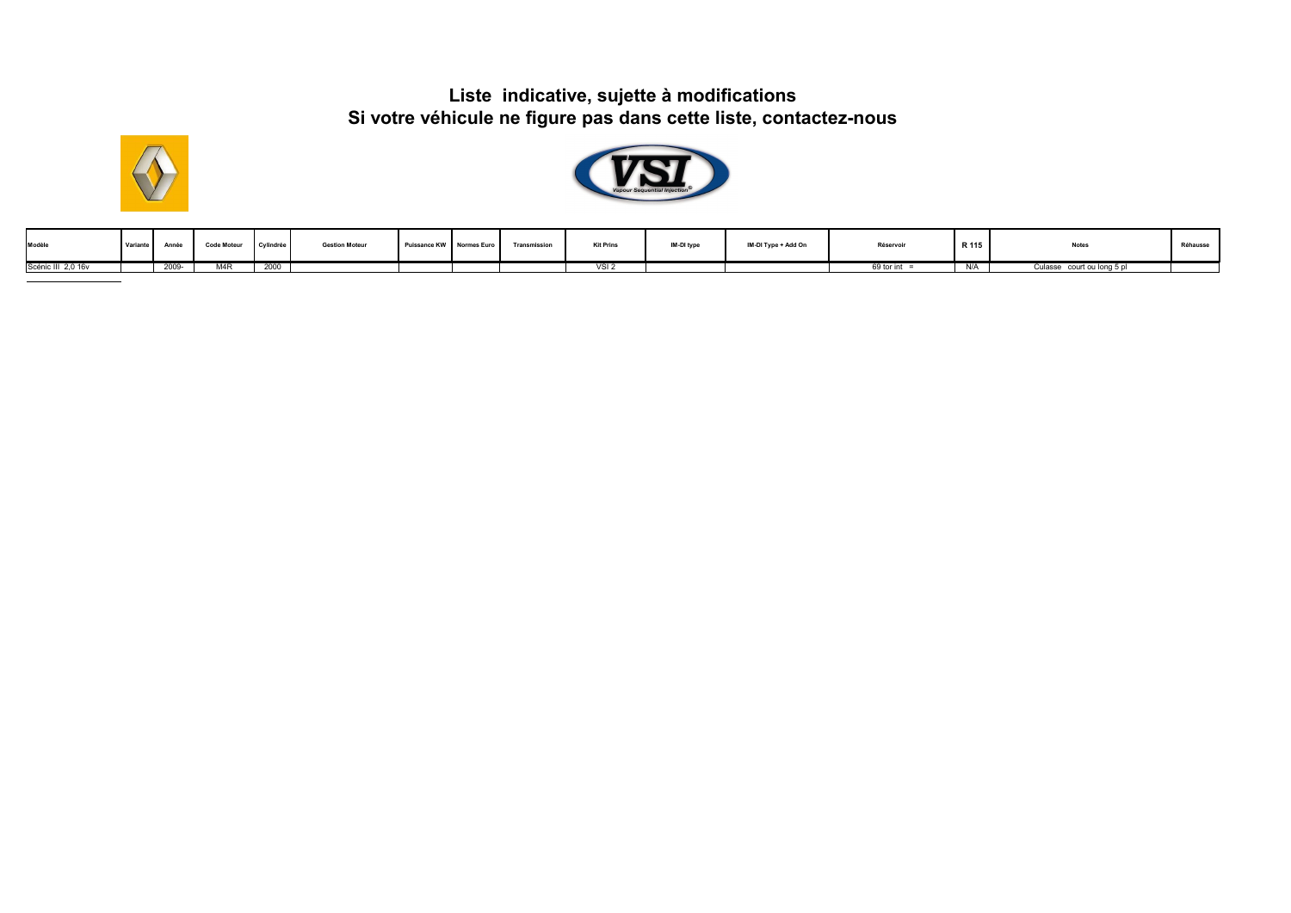



| Modèle             | <b>Variante</b> | Année | <b>Code Moteur</b> | Cylindrée | <b>Gestion Moteur</b> | Puissance KW Normes Euro | Transmission | <b>Kit Prins</b> | IM-DI type | IM-DI Type + Add On | Réservoir  | R 115 | <b>Notes</b>                  | Réhausse |
|--------------------|-----------------|-------|--------------------|-----------|-----------------------|--------------------------|--------------|------------------|------------|---------------------|------------|-------|-------------------------------|----------|
| Scénic III 2.0 16y |                 | 2009- | MAR                | 2000      |                       |                          |              | VCI'             |            |                     | 69 tor int |       | court ou long 5 pl<br>Culasse |          |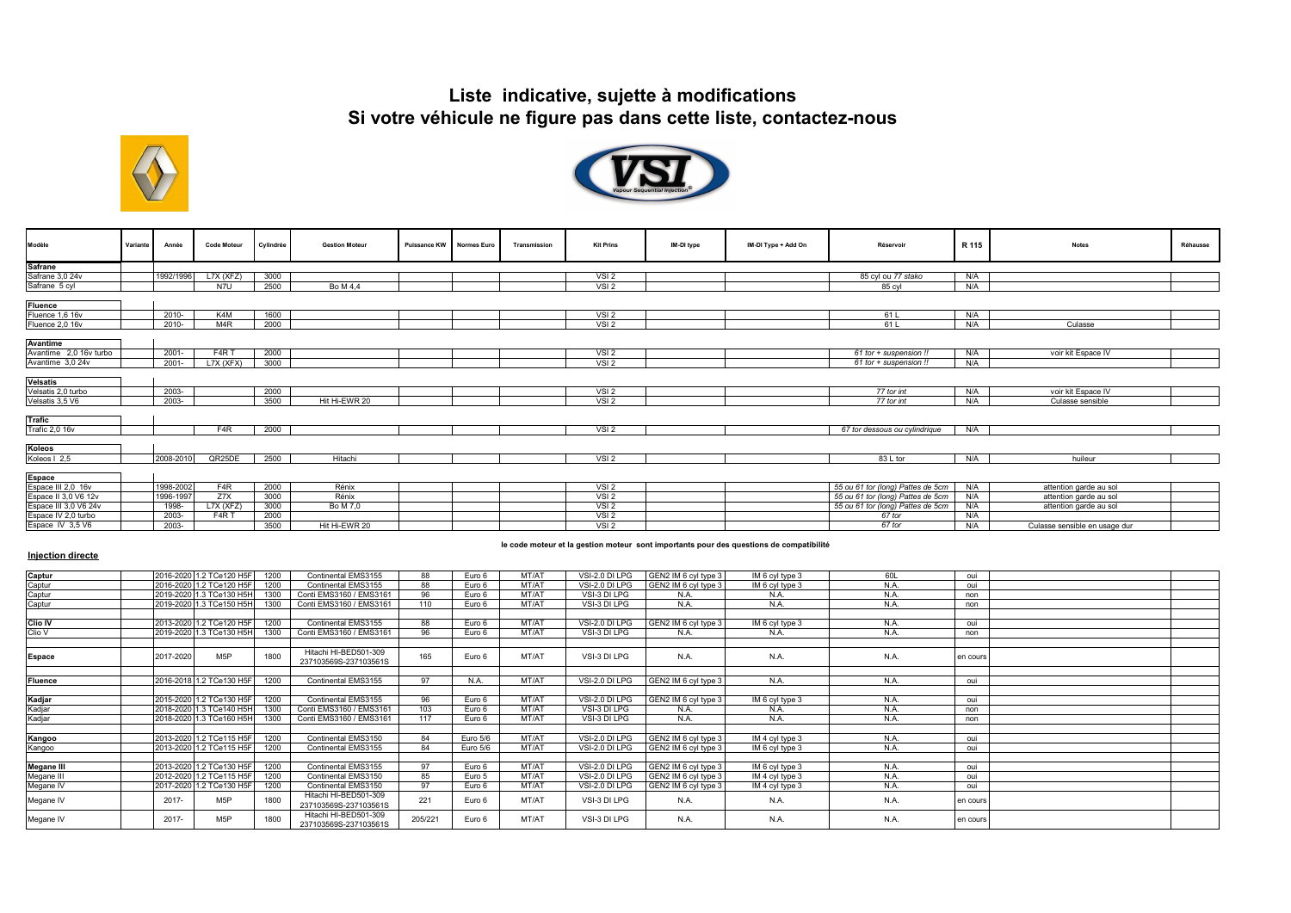



| Modèle                                       | Variante | Année     | <b>Code Moteur</b>            | Cylindrée | <b>Gestion Moteur</b> | Puissance KW Normes Euro | Transmission | <b>Kit Prins</b> | IM-DI type | IM-DI Type + Add On | Réservoir                         | R 115 | <b>Notes</b>                  | Réhausse |
|----------------------------------------------|----------|-----------|-------------------------------|-----------|-----------------------|--------------------------|--------------|------------------|------------|---------------------|-----------------------------------|-------|-------------------------------|----------|
|                                              |          |           |                               |           |                       |                          |              |                  |            |                     |                                   |       |                               |          |
| Safrane<br>Safrane 3,0 24v                   |          | 1992/1996 | L7X (XFZ)                     | 3000      |                       |                          |              | VSI <sub>2</sub> |            |                     | 85 cyl ou 77 stako                | N/A   |                               |          |
| Safrane 5 cyl                                |          |           | N7U                           | 2500      | Bo M 4,4              |                          |              | VSI2             |            |                     | 85 cyl                            | N/A   |                               |          |
|                                              |          |           |                               |           |                       |                          |              |                  |            |                     |                                   |       |                               |          |
| <b>Fluence</b>                               |          |           |                               |           |                       |                          |              |                  |            |                     |                                   |       |                               |          |
| Fluence 1,6 16v                              |          | $2010 -$  | K <sub>4</sub> M              | 1600      |                       |                          |              | VSI2             |            |                     | 61L                               | N/A   |                               |          |
| Fluence 2,0 16v                              |          | $2010 -$  | M <sub>4</sub> R              | 2000      |                       |                          |              | VSI <sub>2</sub> |            |                     | 61L                               | N/A   | Culasse                       |          |
| <b>Avantime</b>                              |          |           |                               |           |                       |                          |              |                  |            |                     |                                   |       |                               |          |
| Avantime 2,0 16v turbo                       |          | $2001 -$  | F <sub>4</sub> R <sub>T</sub> | 2000      |                       |                          |              | VSI <sub>2</sub> |            |                     | 61 tor + suspension !!            | N/A   | voir kit Espace IV            |          |
| Avantime 3,0 24v                             |          | $2001 -$  | L7X (XFX)                     | 3000      |                       |                          |              | VSI2             |            |                     | 61 tor + suspension !!            | N/A   |                               |          |
| Velsatis<br>Velsatis 2,0 turbo               |          |           |                               |           |                       |                          |              |                  |            |                     |                                   |       |                               |          |
|                                              |          | 2003-     |                               | 2000      |                       |                          |              | VSI <sub>2</sub> |            |                     | 77 tor int                        | N/A   | voir kit Espace IV            |          |
| Velsatis 3,5 V6                              |          | 2003-     |                               | 3500      | Hit Hi-EWR 20         |                          |              | VSI2             |            |                     | 77 tor int                        | N/A   | Culasse sensible              |          |
| <b>Trafic</b>                                |          |           |                               |           |                       |                          |              |                  |            |                     |                                   |       |                               |          |
| <b>Trafic 2,0 16v</b>                        |          |           | F <sub>4</sub> R              | 2000      |                       |                          |              | VSI2             |            |                     | 67 tor dessous ou cylindrique     | N/A   |                               |          |
| Koleos                                       |          |           |                               |           |                       |                          |              |                  |            |                     |                                   |       |                               |          |
| Koleos   2,5                                 |          | 2008-2010 | QR25DE                        | 2500      | Hitachi               |                          |              | VSI2             |            |                     | 83 L tor                          | N/A   | huileur                       |          |
| Espace<br>Espace III 2,0 16v                 |          |           |                               |           |                       |                          |              |                  |            |                     |                                   |       |                               |          |
|                                              |          | 1998-2002 | F4R                           | 2000      | Rénix                 |                          |              | VSI2             |            |                     | 55 ou 61 tor (long) Pattes de 5cm | N/A   | attention garde au sol        |          |
| Espace II 3,0 V6 12v                         |          | 1996-1997 | Z7X                           | 3000      | Rénix                 |                          |              | VSI2             |            |                     | 55 ou 61 tor (long) Pattes de 5cm | N/A   | attention garde au sol        |          |
| Espace III 3,0 V6 24v<br>Espace IV 2,0 turbo |          | 1998-     | LTX (XFZ)                     | 3000      | Bo M 7,0              |                          |              | VSI2             |            |                     | 55 ou 61 tor (long) Pattes de 5cm | N/A   | attention garde au sol        |          |
|                                              |          | 2003-     | F <sub>4</sub> R <sub>T</sub> | 2000      |                       |                          |              | VSI <sub>2</sub> |            |                     | 67 tor                            | N/A   |                               |          |
| Espace IV 3,5 V6                             |          | 2003-     |                               | 3500      | Hit Hi-EWR 20         |                          |              | VSI2             |            |                     | 67 tor                            | N/A   | Culasse sensible en usage dur |          |

### **Injection directe**

#### **le code moteur et la gestion moteur sont importants pour des questions de compatibilité**

| Captur            |           | 2016-2020 1.2 TCe120 H5F | 1200 | Continental EMS3155                            | 88      | Euro 6   | MT/AT | VSI-2.0 DI LPG | GEN2 IM 6 cyl type 3 | IM 6 cyl type 3 | 60L  | oui      |  |
|-------------------|-----------|--------------------------|------|------------------------------------------------|---------|----------|-------|----------------|----------------------|-----------------|------|----------|--|
| Captur            |           | 2016-2020 1.2 TCe120 H5F | 1200 | Continental EMS3155                            | 88      | Euro 6   | MT/AT | VSI-2.0 DI LPG | GEN2 IM 6 cyl type 3 | IM 6 cyl type 3 | N.A. | oui      |  |
| Captur            |           | 2019-2020 1.3 TCe130 H5H | 1300 | Conti EMS3160 / EMS3161                        | 96      | Euro 6   | MT/AT | VSI-3 DI LPG   | N.A.                 | N.A.            | N.A. | non      |  |
| Captur            |           | 2019-2020 1.3 TCe150 H5H | 1300 | Conti EMS3160 / EMS3161                        | 110     | Euro 6   | MT/AT | VSI-3 DI LPG   | N.A.                 | N.A.            | N.A. | non      |  |
|                   |           |                          |      |                                                |         |          |       |                |                      |                 |      |          |  |
| Clio IV           |           | 2013-2020 1.2 TCe120 H5F | 1200 | Continental EMS3155                            | 88      | Furo 6   | MT/AT | VSI-2.0 DI LPG | GEN2 IM 6 cvl type 3 | IM 6 cyl type 3 | N.A. | oui      |  |
| Clio V            |           | 2019-2020 1.3 TCe130 H5H | 1300 | Conti EMS3160 / EMS3161                        | 96      | Euro 6   | MT/AT | VSI-3 DI LPG   | N.A.                 | N.A.            | N.A. | non      |  |
|                   |           |                          |      |                                                |         |          |       |                |                      |                 |      |          |  |
| <b>Espace</b>     | 2017-2020 | M5P                      | 1800 | Hitachi HI-BED501-309<br>237103569S-237103561S | 165     | Euro 6   | MT/AT | VSI-3 DI LPG   | N.A.                 | N.A.            | N.A. | en cours |  |
|                   |           |                          |      |                                                |         |          |       |                |                      |                 |      |          |  |
| <b>Fluence</b>    |           | 2016-2018 1.2 TCe130 H5F | 1200 | Continental EMS3155                            | Q7      | N.A.     | MT/AT | VSI-2.0 DI LPG | GEN2 IM 6 cvl type 3 | N.A.            | N.A. | oui      |  |
|                   |           |                          |      |                                                |         |          |       |                |                      |                 |      |          |  |
| Kadjar            |           | 2015-2020 1.2 TCe130 H5F | 1200 | Continental EMS3155                            | 96      | Euro 6   | MT/AT | VSI-2.0 DI LPG | GEN2 IM 6 cvl type 3 | IM 6 cyl type 3 | N.A. | oui      |  |
| Kadjar            |           | 2018-2020 1.3 TCe140 H5H | 1300 | Conti EMS3160 / EMS3161                        | 103     | Euro 6   | MT/AT | VSI-3 DI LPG   | N.A.                 | N.A.            | N.A. | non      |  |
| Kadjar            |           | 2018-2020 1.3 TCe160 H5H | 1300 | Conti EMS3160 / EMS3161                        | 117     | Euro 6   | MT/AT | VSI-3 DI LPG   | N.A.                 | N.A.            | N.A. | non      |  |
|                   |           |                          |      |                                                |         |          |       |                |                      |                 |      |          |  |
| Kangoo            |           | 2013-2020 1.2 TCe115 H5F | 1200 | Continental EMS3150                            | 84      | Euro 5/6 | MT/AT | VSI-2.0 DI LPG | GEN2 IM 6 cyl type 3 | IM 4 cyl type 3 | N.A. | oui      |  |
| Kangoo            |           | 2013-2020 1.2 TCe115 H5F | 1200 | Continental EMS3155                            | 84      | Euro 5/6 | MT/AT | VSI-2.0 DI LPG | GEN2 IM 6 cyl type 3 | IM 6 cyl type 3 | N.A. | oui      |  |
|                   |           |                          |      |                                                |         |          |       |                |                      |                 |      |          |  |
| <b>Megane III</b> |           | 2013-2020 1.2 TCe130 H5F | 1200 | Continental EMS3155                            | 97      | Euro 6   | MT/AT | VSI-2.0 DI LPG | GEN2 IM 6 cyl type 3 | IM 6 cyl type 3 | N.A. | oui      |  |
| Megane III        |           | 2012-2020 1.2 TCe115 H5F | 1200 | Continental EMS3150                            | 85      | Euro 5   | MT/AT | VSI-2.0 DI LPG | GEN2 IM 6 cyl type 3 | IM 4 cyl type 3 | N.A. | oui      |  |
| Megane IV         |           | 2017-2020 1.2 TCe130 H5F | 1200 | Continental EMS3150                            | Q7      | Euro 6   | MT/AT | VSI-2.0 DI LPG | GEN2 IM 6 cyl type 3 | IM 4 cyl type 3 | N.A. | oui      |  |
| Megane IV         | 2017-     | M5P                      | 1800 | Hitachi HI-BED501-309<br>237103569S-237103561S | 221     | Euro 6   | MT/AT | VSI-3 DI LPG   | N.A.                 | N.A.            | N.A. | en cours |  |
| Megane IV         | $2017 -$  | M <sub>5</sub> P         | 1800 | Hitachi HI-BED501-309<br>237103569S-237103561S | 205/221 | Euro 6   | MT/AT | VSI-3 DI LPG   | N.A.                 | N.A.            | N.A. | en cours |  |